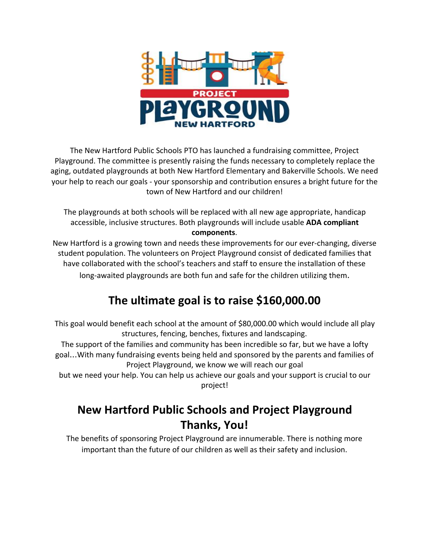

The New Hartford Public Schools PTO has launched a fundraising committee, Project Playground. The committee is presently raising the funds necessary to completely replace the aging, outdated playgrounds at both New Hartford Elementary and Bakerville Schools. We need your help to reach our goals - your sponsorship and contribution ensures a bright future for the town of New Hartford and our children!

The playgrounds at both schools will be replaced with all new age appropriate, handicap accessible, inclusive structures. Both playgrounds will include usable **ADA compliant components**.

New Hartford is a growing town and needs these improvements for our ever-changing, diverse student population. The volunteers on Project Playground consist of dedicated families that have collaborated with the school's teachers and staff to ensure the installation of these long-awaited playgrounds are both fun and safe for the children utilizing them.

## **The ultimate goal is to raise \$160,000.00**

This goal would benefit each school at the amount of \$80,000.00 which would include all play structures, fencing, benches, fixtures and landscaping.

The support of the families and community has been incredible so far, but we have a lofty goal…With many fundraising events being held and sponsored by the parents and families of Project Playground, we know we will reach our goal

but we need your help. You can help us achieve our goals and your support is crucial to our project!

## **New Hartford Public Schools and Project Playground Thanks, You!**

The benefits of sponsoring Project Playground are innumerable. There is nothing more important than the future of our children as well as their safety and inclusion.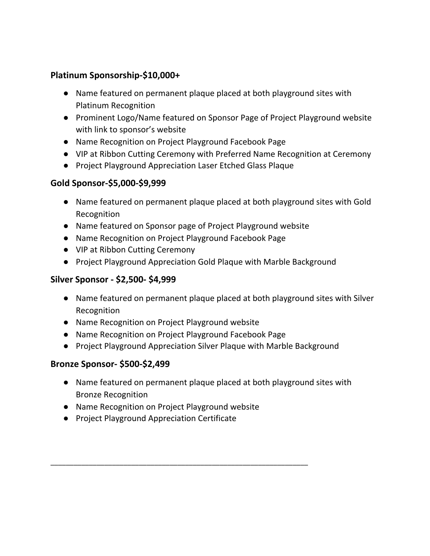#### **Platinum Sponsorship-\$10,000+**

- Name featured on permanent plaque placed at both playground sites with Platinum Recognition
- Prominent Logo/Name featured on Sponsor Page of Project Playground website with link to sponsor's website
- Name Recognition on Project Playground Facebook Page
- VIP at Ribbon Cutting Ceremony with Preferred Name Recognition at Ceremony
- Project Playground Appreciation Laser Etched Glass Plaque

#### **Gold Sponsor-\$5,000-\$9,999**

- Name featured on permanent plaque placed at both playground sites with Gold Recognition
- Name featured on Sponsor page of Project Playground website
- Name Recognition on Project Playground Facebook Page
- VIP at Ribbon Cutting Ceremony
- Project Playground Appreciation Gold Plaque with Marble Background

#### **Silver Sponsor - \$2,500- \$4,999**

- Name featured on permanent plaque placed at both playground sites with Silver Recognition
- Name Recognition on Project Playground website
- Name Recognition on Project Playground Facebook Page
- Project Playground Appreciation Silver Plaque with Marble Background

#### **Bronze Sponsor- \$500-\$2,499**

- Name featured on permanent plaque placed at both playground sites with Bronze Recognition
- Name Recognition on Project Playground website

\_\_\_\_\_\_\_\_\_\_\_\_\_\_\_\_\_\_\_\_\_\_\_\_\_\_\_\_\_\_\_\_\_\_\_\_\_\_\_\_\_\_\_\_\_\_\_\_\_\_\_\_\_\_\_\_\_\_\_\_\_\_\_\_\_\_\_

● Project Playground Appreciation Certificate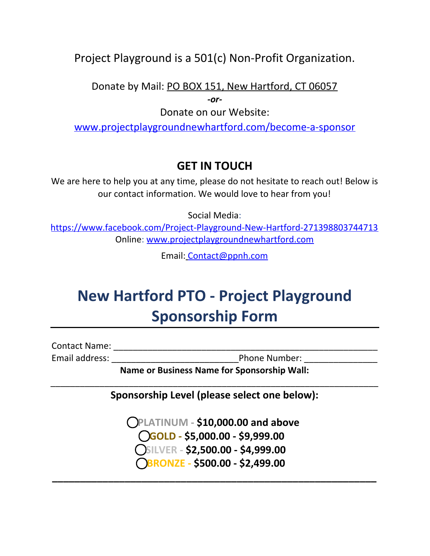### Project Playground is a 501(c) Non-Profit Organization.

Donate by Mail: PO BOX 151, New Hartford, CT 06057

*-or-*

Donate on our Website:

[www.projectplaygroundnewhartford.com/become-a-sponsor](http://www.projectplaygroundnewhartford.com/become-a-sponsor)

## **GET IN TOUCH**

We are here to help you at any time, please do not hesitate to reach out! Below is our contact information. We would love to hear from you!

Social Media:

<https://www.facebook.com/Project-Playground-New-Hartford-271398803744713> Online: [www.projectplaygroundnewhartford.com](http://www.projectplaygroundnewhartford.com/)

Email: [Contact@ppnh.com](mailto:Contact@ppnh.com)

# **New Hartford PTO - Project Playground Sponsorship Form**

Contact Name: \_\_\_\_\_\_\_\_\_\_\_\_\_\_\_\_\_\_\_\_\_\_\_\_\_\_\_\_\_\_\_\_\_\_\_\_\_\_\_\_\_\_\_\_\_\_\_\_\_\_\_\_\_\_

Email address: \_\_\_\_\_\_\_\_\_\_\_\_\_\_\_\_\_\_\_\_\_\_\_\_\_\_Phone Number: \_\_\_\_\_\_\_\_\_\_\_\_\_\_\_

**Name or Business Name for Sponsorship Wall:**

\_\_\_\_\_\_\_\_\_\_\_\_\_\_\_\_\_\_\_\_\_\_\_\_\_\_\_\_\_\_\_\_\_\_\_\_\_\_\_\_\_\_\_\_\_\_\_\_\_\_\_\_\_\_\_\_\_\_\_\_\_\_\_\_\_\_\_ **Sponsorship Level (please select one below):**

> ⃝**PLATINUM - \$10,000.00 and above** ⃝**GOLD - \$5,000.00 - \$9,999.00** ⃝**SILVER - \$2,500.00 - \$4,999.00** ⃝**BRONZE - \$500.00 - \$2,499.00**

**\_\_\_\_\_\_\_\_\_\_\_\_\_\_\_\_\_\_\_\_\_\_\_\_\_\_\_\_\_\_\_\_\_\_\_\_\_\_\_\_\_\_\_\_\_\_\_\_\_\_\_\_\_\_\_\_\_\_**